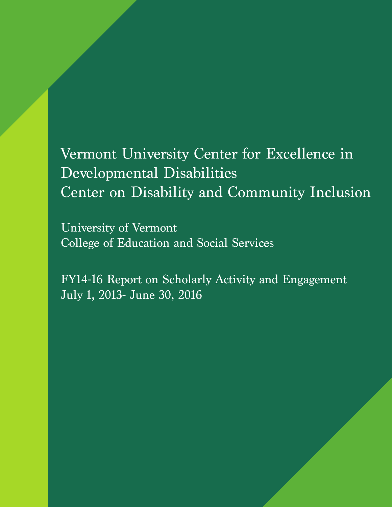# Vermont University Center for Excellence in Developmental Disabilities Center on Disability and Community Inclusion

University of Vermont College of Education and Social Services

FY14-16 Report on Scholarly Activity and Engagement July 1, 2013- June 30, 2016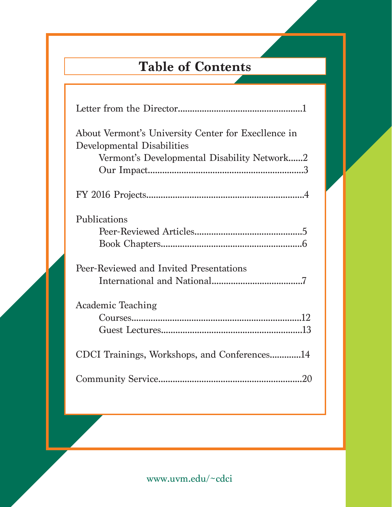# **Table of Contents**

| About Vermont's University Center for Execlence in<br>Developmental Disabilities<br>Vermont's Developmental Disability Network2 |
|---------------------------------------------------------------------------------------------------------------------------------|
|                                                                                                                                 |
| Publications                                                                                                                    |
| Peer-Reviewed and Invited Presentations                                                                                         |
| <b>Academic Teaching</b>                                                                                                        |
| CDCI Trainings, Workshops, and Conferences14                                                                                    |
|                                                                                                                                 |
|                                                                                                                                 |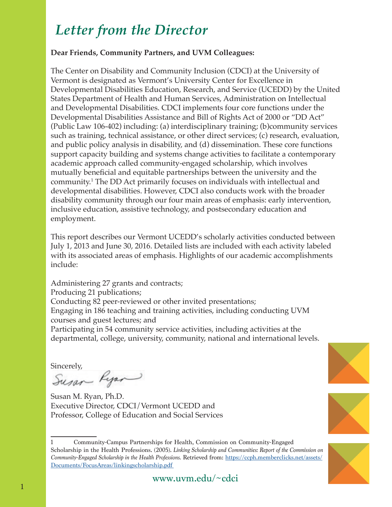# *Letter from the Director*

#### **Dear Friends, Community Partners, and UVM Colleagues:**

The Center on Disability and Community Inclusion (CDCI) at the University of Vermont is designated as Vermont's University Center for Excellence in Developmental Disabilities Education, Research, and Service (UCEDD) by the United States Department of Health and Human Services, Administration on Intellectual and Developmental Disabilities. CDCI implements four core functions under the Developmental Disabilities Assistance and Bill of Rights Act of 2000 or "DD Act" (Public Law 106-402) including: (a) interdisciplinary training; (b)community services such as training, technical assistance, or other direct services; (c) research, evaluation, and public policy analysis in disability, and (d) dissemination. These core functions support capacity building and systems change activities to facilitate a contemporary academic approach called community-engaged scholarship, which involves mutually beneficial and equitable partnerships between the university and the community.1 The DD Act primarily focuses on individuals with intellectual and developmental disabilities. However, CDCI also conducts work with the broader disability community through our four main areas of emphasis: early intervention, inclusive education, assistive technology, and postsecondary education and employment.

This report describes our Vermont UCEDD's scholarly activities conducted between July 1, 2013 and June 30, 2016. Detailed lists are included with each activity labeled with its associated areas of emphasis. Highlights of our academic accomplishments include:

Administering 27 grants and contracts; Producing 21 publications; Conducting 82 peer-reviewed or other invited presentations; Engaging in 186 teaching and training activities, including conducting UVM courses and guest lectures; and Participating in 54 community service activities, including activities at the departmental, college, university, community, national and international levels.

Sincerely,<br>Susar Ryan

Susan M. Ryan, Ph.D. Executive Director, CDCI/Vermont UCEDD and Professor, College of Education and Social Services





<sup>1</sup> Community-Campus Partnerships for Health, Commission on Community-Engaged Scholarship in the Health Professions. (2005). *Linking Scholarship and Communities: Report of the Commission on Community-Engaged Scholarship in the Health Professions.* Retrieved from: https://ccph.memberclicks.net/assets/ Documents/FocusAreas/linkingscholarship.pdf

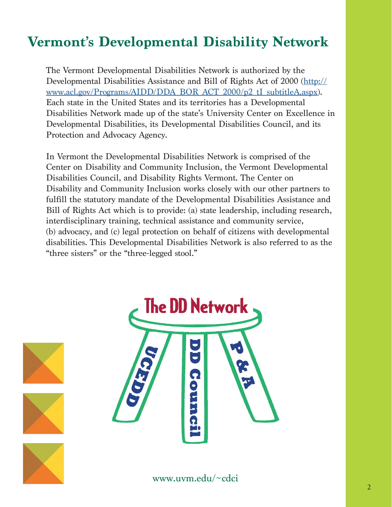# **Vermont's Developmental Disability Network**

The Vermont Developmental Disabilities Network is authorized by the Developmental Disabilities Assistance and Bill of Rights Act of 2000 (http:// www.acl.gov/Programs/AIDD/DDA\_BOR\_ACT\_2000/p2\_tI\_subtitleA.aspx). Each state in the United States and its territories has a Developmental Disabilities Network made up of the state's University Center on Excellence in Developmental Disabilities, its Developmental Disabilities Council, and its Protection and Advocacy Agency.

In Vermont the Developmental Disabilities Network is comprised of the Center on Disability and Community Inclusion, the Vermont Developmental Disabilities Council, and Disability Rights Vermont. The Center on Disability and Community Inclusion works closely with our other partners to fulfill the statutory mandate of the Developmental Disabilities Assistance and Bill of Rights Act which is to provide: (a) state leadership, including research, interdisciplinary training, technical assistance and community service, (b) advocacy, and (c) legal protection on behalf of citizens with developmental disabilities. This Developmental Disabilities Network is also referred to as the "three sisters" or the "three-legged stool."



www.uvm.edu/~cdci

2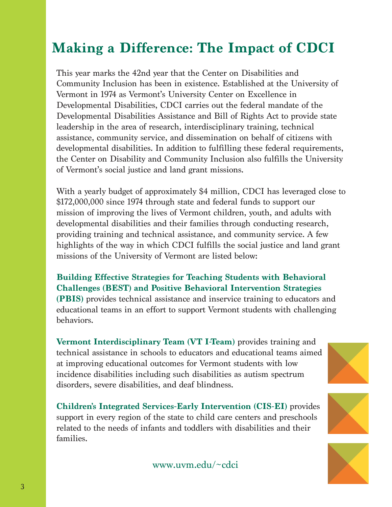### **Making a Difference: The Impact of CDCI**

This year marks the 42nd year that the Center on Disabilities and Community Inclusion has been in existence. Established at the University of Vermont in 1974 as Vermont's University Center on Excellence in Developmental Disabilities, CDCI carries out the federal mandate of the Developmental Disabilities Assistance and Bill of Rights Act to provide state leadership in the area of research, interdisciplinary training, technical assistance, community service, and dissemination on behalf of citizens with developmental disabilities. In addition to fulfilling these federal requirements, the Center on Disability and Community Inclusion also fulfills the University of Vermont's social justice and land grant missions.

With a yearly budget of approximately \$4 million, CDCI has leveraged close to \$172,000,000 since 1974 through state and federal funds to support our mission of improving the lives of Vermont children, youth, and adults with developmental disabilities and their families through conducting research, providing training and technical assistance, and community service. A few highlights of the way in which CDCI fulfills the social justice and land grant missions of the University of Vermont are listed below:

**Building Effective Strategies for Teaching Students with Behavioral Challenges (BEST) and Positive Behavioral Intervention Strategies (PBIS)** provides technical assistance and inservice training to educators and educational teams in an effort to support Vermont students with challenging behaviors.

**Vermont Interdisciplinary Team (VT I-Team)** provides training and technical assistance in schools to educators and educational teams aimed at improving educational outcomes for Vermont students with low incidence disabilities including such disabilities as autism spectrum disorders, severe disabilities, and deaf blindness.

**Children's Integrated Services-Early Intervention (CIS-EI)** provides support in every region of the state to child care centers and preschools related to the needs of infants and toddlers with disabilities and their families.







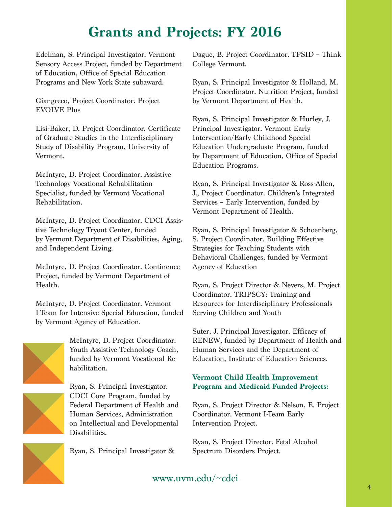### **Grants and Projects: FY 2016**

Edelman, S. Principal Investigator. Vermont Sensory Access Project, funded by Department of Education, Office of Special Education Programs and New York State subaward.

Giangreco, Project Coordinator. Project EVOLVE Plus

Lisi-Baker, D. Project Coordinator. Certificate of Graduate Studies in the Interdisciplinary Study of Disability Program, University of Vermont.

McIntyre, D. Project Coordinator. Assistive Technology Vocational Rehabilitation Specialist, funded by Vermont Vocational Rehabilitation.

McIntyre, D. Project Coordinator. CDCI Assistive Technology Tryout Center, funded by Vermont Department of Disabilities, Aging, and Independent Living.

McIntyre, D. Project Coordinator. Continence Project, funded by Vermont Department of Health.

McIntyre, D. Project Coordinator. Vermont I-Team for Intensive Special Education, funded by Vermont Agency of Education.



McIntyre, D. Project Coordinator. Youth Assistive Technology Coach, funded by Vermont Vocational Rehabilitation.



Ryan, S. Principal Investigator. CDCI Core Program, funded by Federal Department of Health and Human Services, Administration on Intellectual and Developmental

Ryan, S. Principal Investigator &

Dague, B. Project Coordinator. TPSID – Think College Vermont.

Ryan, S. Principal Investigator & Holland, M. Project Coordinator. Nutrition Project, funded by Vermont Department of Health.

Ryan, S. Principal Investigator & Hurley, J. Principal Investigator. Vermont Early Intervention/Early Childhood Special Education Undergraduate Program, funded by Department of Education, Office of Special Education Programs.

Ryan, S. Principal Investigator & Ross-Allen, J., Project Coordinator. Children's Integrated Services – Early Intervention, funded by Vermont Department of Health.

Ryan, S. Principal Investigator & Schoenberg, S. Project Coordinator. Building Effective Strategies for Teaching Students with Behavioral Challenges, funded by Vermont Agency of Education

Ryan, S. Project Director & Nevers, M. Project Coordinator. TRIPSCY: Training and Resources for Interdisciplinary Professionals Serving Children and Youth

Suter, J. Principal Investigator. Efficacy of RENEW, funded by Department of Health and Human Services and the Department of Education, Institute of Education Sciences.

#### **Vermont Child Health Improvement Program and Medicaid Funded Projects:**

Ryan, S. Project Director & Nelson, E. Project Coordinator. Vermont I-Team Early Intervention Project.

Ryan, S. Project Director. Fetal Alcohol Spectrum Disorders Project.

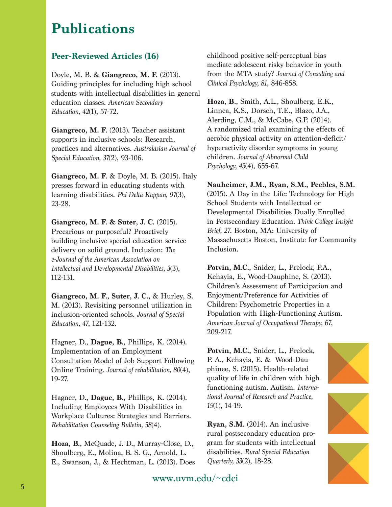### **Publications**

#### **Peer-Reviewed Articles (16)**

Doyle, M. B. & **Giangreco, M. F.** (2013). Guiding principles for including high school students with intellectual disabilities in general education classes. *American Secondary Education, 42*(1), 57-72.

**Giangreco, M. F.** (2013). Teacher assistant supports in inclusive schools: Research, practices and alternatives. *Australasian Journal of Special Education, 37*(2), 93-106.

**Giangreco, M. F.** & Doyle, M. B. (2015). Italy presses forward in educating students with learning disabilities. *Phi Delta Kappan, 97*(3), 23-28.

**Giangreco, M. F. & Suter, J. C.** (2015). Precarious or purposeful? Proactively building inclusive special education service delivery on solid ground. Inclusion: *The e-Journal of the American Association on Intellectual and Developmental Disabilities, 3*(3), 112-131.

**Giangreco, M. F., Suter, J. C.,** & Hurley, S. M. (2013). Revisiting personnel utilization in inclusion-oriented schools. *Journal of Special Education, 47*, 121-132.

Hagner, D., **Dague, B.**, Phillips, K. (2014). Implementation of an Employment Consultation Model of Job Support Following Online Training. *Journal of rehabilitation, 80*(4), 19-27.

Hagner, D., **Dague, B.,** Phillips, K. (2014). Including Employees With Disabilities in Workplace Cultures: Strategies and Barriers. *Rehabilitation Counseling Bulletin, 58*(4).

**Hoza, B.**, McQuade, J. D., Murray-Close, D., Shoulberg, E., Molina, B. S. G., Arnold, L. E., Swanson, J., & Hechtman, L. (2013). Does

childhood positive self-perceptual bias mediate adolescent risky behavior in youth from the MTA study? *Journal of Consulting and Clinical Psychology, 81*, 846-858.

**Hoza, B**., Smith, A.L., Shoulberg, E.K., Linnea, K.S., Dorsch, T.E., Blazo, J.A., Alerding, C.M., & McCabe, G.P. (2014). A randomized trial examining the effects of aerobic physical activity on attention-deficit/ hyperactivity disorder symptoms in young children. *Journal of Abnormal Child Psychology, 43*(4), 655-67.

**Nauheimer, J.M., Ryan, S.M., Peebles, S.M.** (2015). A Day in the Life: Technology for High School Students with Intellectual or Developmental Disabilities Dually Enrolled in Postsecondary Education. *Think College Insight Brief, 27*. Boston, MA: University of Massachusetts Boston, Institute for Community Inclusion.

**Potvin, M.C.**, Snider, L., Prelock, P.A., Kehayia, E., Wood-Dauphine, S. (2013). Children's Assessment of Participation and Enjoyment/Preference for Activities of Children: Psychometric Properties in a Population with High-Functioning Autism. *American Journal of Occupational Therapy, 67*, 209-217.

**Potvin, M.C.,** Snider, L., Prelock, P. A., Kehayia, E. & Wood-Dauphinee, S. (2015). Health-related quality of life in children with high functioning autism. Autism. *International Journal of Research and Practice, 19*(1), 14-19.

**Ryan, S.M.** (2014). An inclusive rural postsecondary education program for students with intellectual disabilities. *Rural Special Education Quarterly, 33*(2), 18-28.





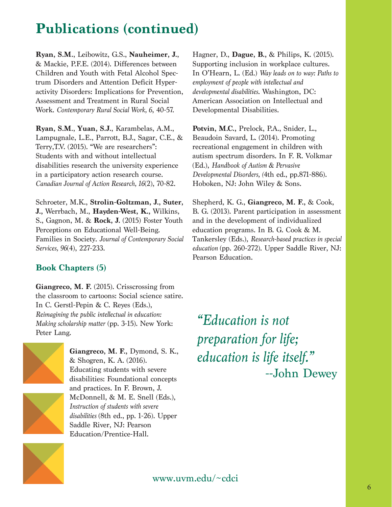# **Publications (continued)**

**Ryan, S.M.**, Leibowitz, G.S., **Nauheimer, J.**, & Mackie, P.F.E. (2014). Differences between Children and Youth with Fetal Alcohol Spectrum Disorders and Attention Deficit Hyperactivity Disorders: Implications for Prevention, Assessment and Treatment in Rural Social Work. *Contemporary Rural Social Work, 6*, 40-57.

**Ryan, S.M**., **Yuan, S.J.**, Karambelas, A.M., Lampugnale, L.E., Parrott, B.J., Sagar, C.E., & Terry,T.V. (2015). "We are researchers": Students with and without intellectual disabilities research the university experience in a participatory action research course. *Canadian Journal of Action Research, 16*(2), 70-82.

Schroeter, M.K., **Strolin-Goltzman, J., Suter, J.,** Werrbach, M., **Hayden-West, K.,** Wilkins, S., Gagnon, M. & **Rock, J.** (2015) Foster Youth Perceptions on Educational Well-Being. Families in Society. *Journal of Contemporary Social Services, 96*(4), 227-233.

#### **Book Chapters (5)**

**Giangreco, M. F.** (2015). Crisscrossing from the classroom to cartoons: Social science satire. In C. Gerstl-Pepin & C. Reyes (Eds.), *Reimagining the public intellectual in education: Making scholarship matter* (pp. 3-15). New York: Peter Lang.



**Giangreco, M. F.,** Dymond, S. K., & Shogren, K. A. (2016). Educating students with severe disabilities: Foundational concepts and practices. In F. Brown, J. McDonnell, & M. E. Snell (Eds.), *Instruction of students with severe disabilities* (8th ed., pp. 1-26). Upper Saddle River, NJ: Pearson Education/Prentice-Hall.

Hagner, D., **Dague, B.,** & Philips, K. (2015). Supporting inclusion in workplace cultures. In O'Hearn, L. (Ed.) *Way leads on to way: Paths to employment of people with intellectual and developmental disabilities*. Washington, DC: American Association on Intellectual and Developmental Disabilities.

**Potvin, M.C.,** Prelock, P.A., Snider, L., Beaudoin Savard, L. (2014). Promoting recreational engagement in children with autism spectrum disorders. In F. R. Volkmar (Ed.), *Handbook of Autism & Pervasive Developmental Disorders, (*4th ed., pp.871-886). Hoboken, NJ: John Wiley & Sons.

Shepherd, K. G., **Giangreco, M. F.,** & Cook, B. G. (2013). Parent participation in assessment and in the development of individualized education programs. In B. G. Cook & M. Tankersley (Eds.), *Research-based practices in special education* (pp. 260-272). Upper Saddle River, NJ: Pearson Education.

*"Education is not preparation for life; education is life itself."* --John Dewey

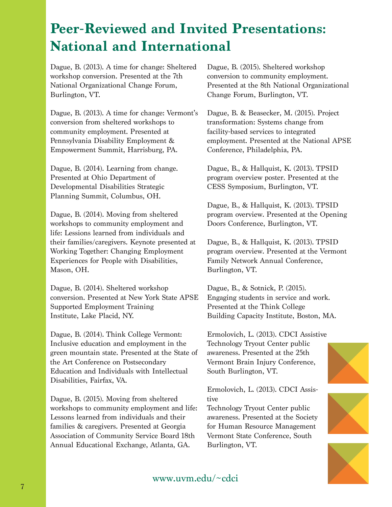Dague, B. (2013). A time for change: Sheltered workshop conversion. Presented at the 7th National Organizational Change Forum, Burlington, VT.

Dague, B. (2013). A time for change: Vermont's conversion from sheltered workshops to community employment. Presented at Pennsylvania Disability Employment & Empowerment Summit, Harrisburg, PA.

Dague, B. (2014). Learning from change. Presented at Ohio Department of Developmental Disabilities Strategic Planning Summit, Columbus, OH.

Dague, B. (2014). Moving from sheltered workshops to community employment and life: Lessions learned from individuals and their families/caregivers. Keynote presented at Working Together: Changing Employment Experiences for People with Disabilities, Mason, OH.

Dague, B. (2014). Sheltered workshop conversion. Presented at New York State APSE Supported Employment Training Institute, Lake Placid, NY.

Dague, B. (2014). Think College Vermont: Inclusive education and employment in the green mountain state. Presented at the State of the Art Conference on Postsecondary Education and Individuals with Intellectual Disabilities, Fairfax, VA.

Dague, B. (2015). Moving from sheltered workshops to community employment and life: Lessons learned from individuals and their families & caregivers. Presented at Georgia Association of Community Service Board 18th Annual Educational Exchange, Atlanta, GA.

Dague, B. (2015). Sheltered workshop conversion to community employment. Presented at the 8th National Organizational Change Forum, Burlington, VT.

Dague, B. & Beasecker, M. (2015). Project transformation: Systems change from facility-based services to integrated employment. Presented at the National APSE Conference, Philadelphia, PA.

Dague, B., & Hallquist, K. (2013). TPSID program overview poster. Presented at the CESS Symposium, Burlington, VT.

Dague, B., & Hallquist, K. (2013). TPSID program overview. Presented at the Opening Doors Conference, Burlington, VT.

Dague, B., & Hallquist, K. (2013). TPSID program overview. Presented at the Vermont Family Network Annual Conference, Burlington, VT.

Dague, B., & Sotnick, P. (2015). Engaging students in service and work. Presented at the Think College Building Capacity Institute, Boston, MA.

Ermolovich, L. (2013). CDCI Assistive Technology Tryout Center public awareness. Presented at the 25th Vermont Brain Injury Conference, South Burlington, VT.

Ermolovich, L. (2013). CDCI Assistive

Technology Tryout Center public awareness. Presented at the Society for Human Resource Management Vermont State Conference, South Burlington, VT.





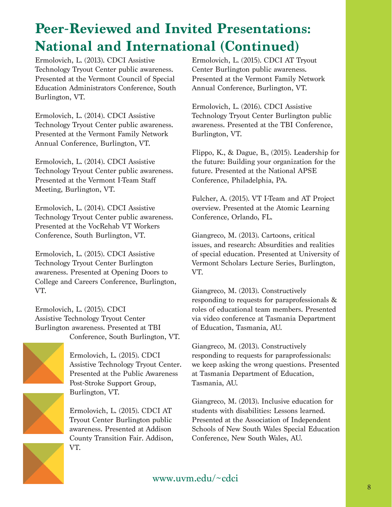Ermolovich, L. (2013). CDCI Assistive Technology Tryout Center public awareness. Presented at the Vermont Council of Special Education Administrators Conference, South Burlington, VT.

Ermolovich, L. (2014). CDCI Assistive Technology Tryout Center public awareness. Presented at the Vermont Family Network Annual Conference, Burlington, VT.

Ermolovich, L. (2014). CDCI Assistive Technology Tryout Center public awareness. Presented at the Vermont I-Team Staff Meeting, Burlington, VT.

Ermolovich, L. (2014). CDCI Assistive Technology Tryout Center public awareness. Presented at the VocRehab VT Workers Conference, South Burlington, VT.

Ermolovich, L. (2015). CDCI Assistive Technology Tryout Center Burlington awareness. Presented at Opening Doors to College and Careers Conference, Burlington, VT.

Ermolovich, L. (2015). CDCI Assistive Technology Tryout Center Burlington awareness. Presented at TBI Conference, South Burlington, VT.



Ermolovich, L. (2015). CDCI Assistive Technology Tryout Center. Presented at the Public Awareness Post-Stroke Support Group, Burlington, VT.

Ermolovich, L. (2015). CDCI AT Tryout Center Burlington public awareness. Presented at Addison County Transition Fair. Addison, VT.

Ermolovich, L. (2015). CDCI AT Tryout Center Burlington public awareness. Presented at the Vermont Family Network Annual Conference, Burlington, VT.

Ermolovich, L. (2016). CDCI Assistive Technology Tryout Center Burlington public awareness. Presented at the TBI Conference, Burlington, VT.

Flippo, K., & Dague, B., (2015). Leadership for the future: Building your organization for the future. Presented at the National APSE Conference, Philadelphia, PA.

Fulcher, A. (2015). VT I-Team and AT Project overview. Presented at the Atomic Learning Conference, Orlando, FL.

Giangreco, M. (2013). Cartoons, critical issues, and research: Absurdities and realities of special education. Presented at University of Vermont Scholars Lecture Series, Burlington, VT.

Giangreco, M. (2013). Constructively responding to requests for paraprofessionals & roles of educational team members. Presented via video conference at Tasmania Department of Education, Tasmania, AU.

Giangreco, M. (2013). Constructively responding to requests for paraprofessionals: we keep asking the wrong questions. Presented at Tasmania Department of Education, Tasmania, AU.

Giangreco, M. (2013). Inclusive education for students with disabilities: Lessons learned. Presented at the Association of Independent Schools of New South Wales Special Education Conference, New South Wales, AU.

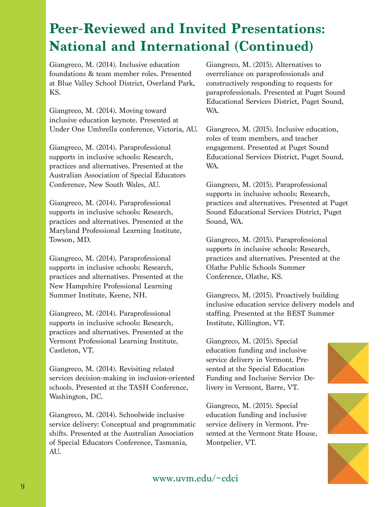Giangreco, M. (2014). Inclusive education foundations & team member roles. Presented at Blue Valley School District, Overland Park, KS.

Giangreco, M. (2014). Moving toward inclusive education keynote. Presented at Under One Umbrella conference, Victoria, AU.

Giangreco, M. (2014). Paraprofessional supports in inclusive schools: Research, practices and alternatives. Presented at the Australian Association of Special Educators Conference, New South Wales, AU.

Giangreco, M. (2014). Paraprofessional supports in inclusive schools: Research, practices and alternatives. Presented at the Maryland Professional Learning Institute, Towson, MD.

Giangreco, M. (2014). Paraprofessional supports in inclusive schools: Research, practices and alternatives. Presented at the New Hampshire Professional Learning Summer Institute, Keene, NH.

Giangreco, M. (2014). Paraprofessional supports in inclusive schools: Research, practices and alternatives. Presented at the Vermont Professional Learning Institute, Castleton, VT.

Giangreco, M. (2014). Revisiting related services decision-making in inclusion-oriented schools. Presented at the TASH Conference, Washington, DC.

Giangreco, M. (2014). Schoolwide inclusive service delivery: Conceptual and programmatic shifts. Presented at the Australian Association of Special Educators Conference, Tasmania, AU.

Giangreco, M. (2015). Alternatives to overreliance on paraprofessionals and constructively responding to requests for paraprofessionals. Presented at Puget Sound Educational Services District, Puget Sound, WA.

Giangreco, M. (2015). Inclusive education, roles of team members, and teacher engagement. Presented at Puget Sound Educational Services District, Puget Sound, WA.

Giangreco, M. (2015). Paraprofessional supports in inclusive schools: Research, practices and alternatives. Presented at Puget Sound Educational Services District, Puget Sound, WA.

Giangreco, M. (2015). Paraprofessional supports in inclusive schools: Research, practices and alternatives. Presented at the Olathe Public Schools Summer Conference, Olathe, KS.

Giangreco, M. (2015). Proactively building inclusive education service delivery models and staffing. Presented at the BEST Summer Institute, Killington, VT.

Giangreco, M. (2015). Special education funding and inclusive service delivery in Vermont. Presented at the Special Education Funding and Inclusive Service Delivery in Vermont, Barre, VT.

Giangreco, M. (2015). Special education funding and inclusive service delivery in Vermont. Presented at the Vermont State House, Montpelier, VT.





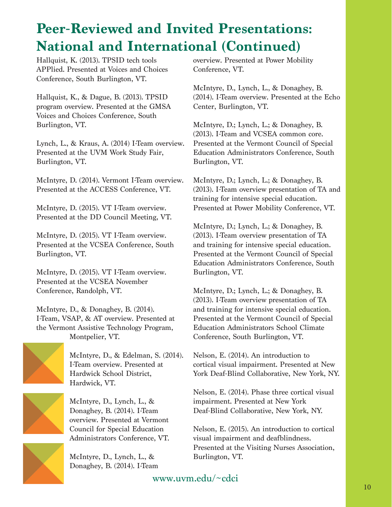Hallquist, K. (2013). TPSID tech tools APPlied. Presented at Voices and Choices Conference, South Burlington, VT.

Hallquist, K., & Dague, B. (2013). TPSID program overview. Presented at the GMSA Voices and Choices Conference, South Burlington, VT.

Lynch, L., & Kraus, A. (2014) I-Team overview. Presented at the UVM Work Study Fair, Burlington, VT.

McIntyre, D. (2014). Vermont I-Team overview. Presented at the ACCESS Conference, VT.

McIntyre, D. (2015). VT I-Team overview. Presented at the DD Council Meeting, VT.

McIntyre, D. (2015). VT I-Team overview. Presented at the VCSEA Conference, South Burlington, VT.

McIntyre, D. (2015). VT I-Team overview. Presented at the VCSEA November Conference, Randolph, VT.

McIntyre, D., & Donaghey, B. (2014). I-Team, VSAP, & AT overview. Presented at the Vermont Assistive Technology Program, Montpelier, VT.



McIntyre, D., & Edelman, S. (2014). I-Team overview. Presented at Hardwick School District, Hardwick, VT.

McIntyre, D., Lynch, L., & Donaghey, B. (2014). I-Team overview. Presented at Vermont Council for Special Education Administrators Conference, VT.

McIntyre, D., Lynch, L., & Donaghey, B. (2014). I-Team overview. Presented at Power Mobility Conference, VT.

McIntyre, D., Lynch, L., & Donaghey, B. (2014). I-Team overview. Presented at the Echo Center, Burlington, VT.

McIntyre, D.; Lynch, L.; & Donaghey, B. (2013). I-Team and VCSEA common core. Presented at the Vermont Council of Special Education Administrators Conference, South Burlington, VT.

McIntyre, D.; Lynch, L.; & Donaghey, B. (2013). I-Team overview presentation of TA and training for intensive special education. Presented at Power Mobility Conference, VT.

McIntyre, D.; Lynch, L.; & Donaghey, B. (2013). I-Team overview presentation of TA and training for intensive special education. Presented at the Vermont Council of Special Education Administrators Conference, South Burlington, VT.

McIntyre, D.; Lynch, L.; & Donaghey, B. (2013). I-Team overview presentation of TA and training for intensive special education. Presented at the Vermont Council of Special Education Administrators School Climate Conference, South Burlington, VT.

Nelson, E. (2014). An introduction to cortical visual impairment. Presented at New York Deaf-Blind Collaborative, New York, NY.

Nelson, E. (2014). Phase three cortical visual impairment. Presented at New York Deaf-Blind Collaborative, New York, NY.

Nelson, E. (2015). An introduction to cortical visual impairment and deafblindness. Presented at the Visiting Nurses Association, Burlington, VT.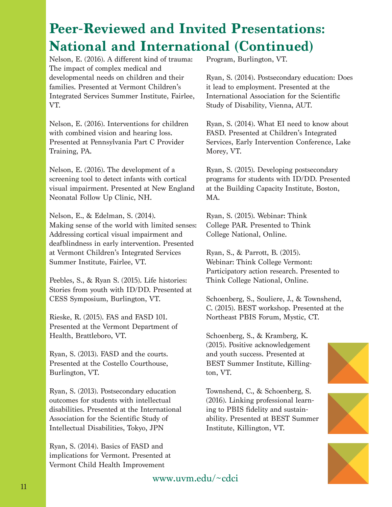Nelson, E. (2016). A different kind of trauma: The impact of complex medical and developmental needs on children and their families. Presented at Vermont Children's Integrated Services Summer Institute, Fairlee, VT.

Nelson, E. (2016). Interventions for children with combined vision and hearing loss. Presented at Pennsylvania Part C Provider Training, PA.

Nelson, E. (2016). The development of a screening tool to detect infants with cortical visual impairment. Presented at New England Neonatal Follow Up Clinic, NH.

Nelson, E., & Edelman, S. (2014). Making sense of the world with limited senses: Addressing cortical visual impairment and deafblindness in early intervention. Presented at Vermont Children's Integrated Services Summer Institute, Fairlee, VT.

Peebles, S., & Ryan S. (2015). Life histories: Stories from youth with ID/DD. Presented at CESS Symposium, Burlington, VT.

Rieske, R. (2015). FAS and FASD 101. Presented at the Vermont Department of Health, Brattleboro, VT.

Ryan, S. (2013). FASD and the courts. Presented at the Costello Courthouse, Burlington, VT.

Ryan, S. (2013). Postsecondary education outcomes for students with intellectual disabilities. Presented at the International Association for the Scientific Study of Intellectual Disabilities, Tokyo, JPN

Ryan, S. (2014). Basics of FASD and implications for Vermont. Presented at Vermont Child Health Improvement

Program, Burlington, VT.

Ryan, S. (2014). Postsecondary education: Does it lead to employment. Presented at the International Association for the Scientific Study of Disability, Vienna, AUT.

Ryan, S. (2014). What EI need to know about FASD. Presented at Children's Integrated Services, Early Intervention Conference, Lake Morey, VT.

Ryan, S. (2015). Developing postsecondary programs for students with ID/DD. Presented at the Building Capacity Institute, Boston, MA.

Ryan, S. (2015). Webinar: Think College PAR. Presented to Think College National, Online.

Ryan, S., & Parrott, B. (2015). Webinar: Think College Vermont: Participatory action research. Presented to Think College National, Online.

Schoenberg, S., Souliere, J., & Townshend, C. (2015). BEST workshop. Presented at the Northeast PBIS Forum, Mystic, CT.

Schoenberg, S., & Kramberg, K. (2015). Positive acknowledgement and youth success. Presented at BEST Summer Institute, Killington, VT.

Townshend, C., & Schoenberg, S. (2016). Linking professional learning to PBIS fidelity and sustainability. Presented at BEST Summer Institute, Killington, VT.





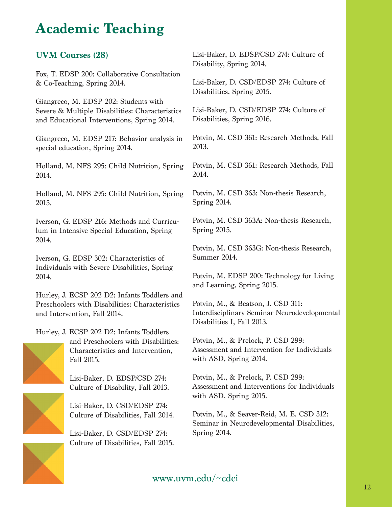### **Academic Teaching**

#### **UVM Courses (28)**

Fox, T. EDSP 200: Collaborative Consultation & Co-Teaching, Spring 2014.

Giangreco, M. EDSP 202: Students with Severe & Multiple Disabilities: Characteristics and Educational Interventions, Spring 2014.

Giangreco, M. EDSP 217: Behavior analysis in special education, Spring 2014.

Holland, M. NFS 295: Child Nutrition, Spring 2014.

Holland, M. NFS 295: Child Nutrition, Spring 2015.

Iverson, G. EDSP 216: Methods and Curriculum in Intensive Special Education, Spring 2014.

Iverson, G. EDSP 302: Characteristics of Individuals with Severe Disabilities, Spring 2014.

Hurley, J. ECSP 202 D2: Infants Toddlers and Preschoolers with Disabilities: Characteristics and Intervention, Fall 2014.



Hurley, J. ECSP 202 D2: Infants Toddlers and Preschoolers with Disabilities: Characteristics and Intervention, Fall 2015.

> Lisi-Baker, D. EDSP/CSD 274: Culture of Disability, Fall 2013.

Lisi-Baker, D. CSD/EDSP 274: Culture of Disabilities, Fall 2014.

Lisi-Baker, D. CSD/EDSP 274: Culture of Disabilities, Fall 2015. Lisi-Baker, D. EDSP/CSD 274: Culture of Disability, Spring 2014.

Lisi-Baker, D. CSD/EDSP 274: Culture of Disabilities, Spring 2015.

Lisi-Baker, D. CSD/EDSP 274: Culture of Disabilities, Spring 2016.

Potvin, M. CSD 361: Research Methods, Fall 2013.

Potvin, M. CSD 361: Research Methods, Fall 2014.

Potvin, M. CSD 363: Non-thesis Research, Spring 2014.

Potvin, M. CSD 363A: Non-thesis Research, Spring 2015.

Potvin, M. CSD 363G: Non-thesis Research, Summer 2014.

Potvin, M. EDSP 200: Technology for Living and Learning, Spring 2015.

Potvin, M., & Beatson, J. CSD 311: Interdisciplinary Seminar Neurodevelopmental Disabilities I, Fall 2013.

Potvin, M., & Prelock, P. CSD 299: Assessment and Intervention for Individuals with ASD, Spring 2014.

Potvin, M., & Prelock, P. CSD 299: Assessment and Interventions for Individuals with ASD, Spring 2015.

Potvin, M., & Seaver-Reid, M. E. CSD 312: Seminar in Neurodevelopmental Disabilities, Spring 2014.

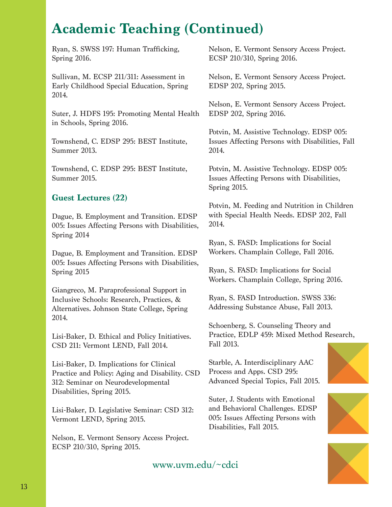### **Academic Teaching (Continued)**

Ryan, S. SWSS 197: Human Trafficking, Spring 2016.

Sullivan, M. ECSP 211/311: Assessment in Early Childhood Special Education, Spring 2014.

Suter, J. HDFS 195: Promoting Mental Health in Schools, Spring 2016.

Townshend, C. EDSP 295: BEST Institute, Summer 2013.

Townshend, C. EDSP 295: BEST Institute, Summer 2015.

#### **Guest Lectures (22)**

Dague, B. Employment and Transition. EDSP 005: Issues Affecting Persons with Disabilities, Spring 2014

Dague, B. Employment and Transition. EDSP 005: Issues Affecting Persons with Disabilities, Spring 2015

Giangreco, M. Paraprofessional Support in Inclusive Schools: Research, Practices, & Alternatives. Johnson State College, Spring 2014.

Lisi-Baker, D. Ethical and Policy Initiatives. CSD 211: Vermont LEND, Fall 2014.

Lisi-Baker, D. Implications for Clinical Practice and Policy: Aging and Disability. CSD 312: Seminar on Neurodevelopmental Disabilities, Spring 2015.

Lisi-Baker, D. Legislative Seminar: CSD 312: Vermont LEND, Spring 2015.

Nelson, E. Vermont Sensory Access Project. ECSP 210/310, Spring 2015.

Nelson, E. Vermont Sensory Access Project. ECSP 210/310, Spring 2016.

Nelson, E. Vermont Sensory Access Project. EDSP 202, Spring 2015.

Nelson, E. Vermont Sensory Access Project. EDSP 202, Spring 2016.

Potvin, M. Assistive Technology. EDSP 005: Issues Affecting Persons with Disabilities, Fall 2014.

Potvin, M. Assistive Technology. EDSP 005: Issues Affecting Persons with Disabilities, Spring 2015.

Potvin, M. Feeding and Nutrition in Children with Special Health Needs. EDSP 202, Fall 2014.

Ryan, S. FASD: Implications for Social Workers. Champlain College, Fall 2016.

Ryan, S. FASD: Implications for Social Workers. Champlain College, Spring 2016.

Ryan, S. FASD Introduction. SWSS 336: Addressing Substance Abuse, Fall 2013.

Schoenberg, S. Counseling Theory and Practice, EDLP 459: Mixed Method Research, Fall 2013.

Starble, A. Interdisciplinary AAC Process and Apps. CSD 295: Advanced Special Topics, Fall 2015.

Suter, J. Students with Emotional and Behavioral Challenges. EDSP 005: Issues Affecting Persons with Disabilities, Fall 2015.



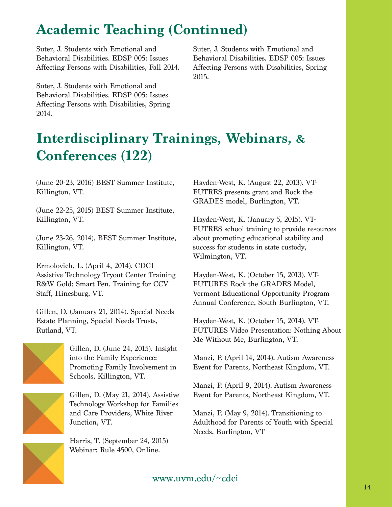# **Academic Teaching (Continued)**

Suter, J. Students with Emotional and Behavioral Disabilities. EDSP 005: Issues Affecting Persons with Disabilities, Fall 2014.

Suter, J. Students with Emotional and Behavioral Disabilities. EDSP 005: Issues Affecting Persons with Disabilities, Spring 2014.

Suter, J. Students with Emotional and Behavioral Disabilities. EDSP 005: Issues Affecting Persons with Disabilities, Spring 2015.

# **Interdisciplinary Trainings, Webinars, & Conferences (122)**

(June 20-23, 2016) BEST Summer Institute, Killington, VT.

(June 22-25, 2015) BEST Summer Institute, Killington, VT.

(June 23-26, 2014). BEST Summer Institute, Killington, VT.

Ermolovich, L. (April 4, 2014). CDCI Assistive Technology Tryout Center Training R&W Gold: Smart Pen. Training for CCV Staff, Hinesburg, VT.

Gillen, D. (January 21, 2014). Special Needs Estate Planning, Special Needs Trusts, Rutland, VT.



Gillen, D. (June 24, 2015). Insight into the Family Experience: Promoting Family Involvement in Schools, Killington, VT.



Gillen, D. (May 21, 2014). Assistive Technology Workshop for Families and Care Providers, White River Junction, VT.

Harris, T. (September 24, 2015) Webinar: Rule 4500, Online.

Hayden-West, K. (August 22, 2013). VT-FUTRES presents grant and Rock the GRADES model, Burlington, VT.

Hayden-West, K. (January 5, 2015). VT-FUTRES school training to provide resources about promoting educational stability and success for students in state custody, Wilmington, VT.

Hayden-West, K. (October 15, 2013). VT-FUTURES Rock the GRADES Model, Vermont Educational Opportunity Program Annual Conference, South Burlington, VT.

Hayden-West, K. (October 15, 2014). VT-FUTURES Video Presentation: Nothing About Me Without Me, Burlington, VT.

Manzi, P. (April 14, 2014). Autism Awareness Event for Parents, Northeast Kingdom, VT.

Manzi, P. (April 9, 2014). Autism Awareness Event for Parents, Northeast Kingdom, VT.

Manzi, P. (May 9, 2014). Transitioning to Adulthood for Parents of Youth with Special Needs, Burlington, VT

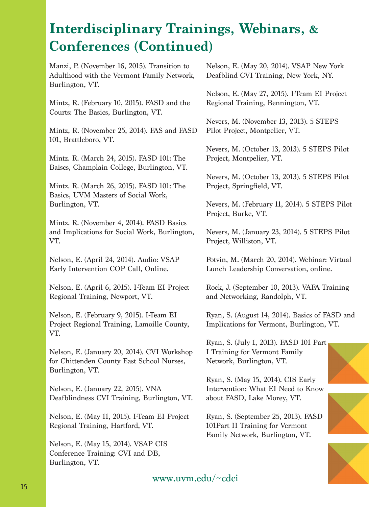Manzi, P. (November 16, 2015). Transition to Adulthood with the Vermont Family Network, Burlington, VT.

Mintz, R. (February 10, 2015). FASD and the Courts: The Basics, Burlington, VT.

Mintz, R. (November 25, 2014). FAS and FASD 101, Brattleboro, VT.

Mintz. R. (March 24, 2015). FASD 101: The Baiscs, Champlain College, Burlington, VT.

Mintz. R. (March 26, 2015). FASD 101: The Basics, UVM Masters of Social Work, Burlington, VT.

Mintz. R. (November 4, 2014). FASD Basics and Implications for Social Work, Burlington, VT.

Nelson, E. (April 24, 2014). Audio: VSAP Early Intervention COP Call, Online.

Nelson, E. (April 6, 2015). I-Team EI Project Regional Training, Newport, VT.

Nelson, E. (February 9, 2015). I-Team EI Project Regional Training, Lamoille County, VT.

Nelson, E. (January 20, 2014). CVI Workshop for Chittenden County East School Nurses, Burlington, VT.

Nelson, E. (January 22, 2015). VNA Deafblindness CVI Training, Burlington, VT.

Nelson, E. (May 11, 2015). I-Team EI Project Regional Training, Hartford, VT.

Nelson, E. (May 15, 2014). VSAP CIS Conference Training: CVI and DB, Burlington, VT.

Nelson, E. (May 20, 2014). VSAP New York Deafblind CVI Training, New York, NY.

Nelson, E. (May 27, 2015). I-Team EI Project Regional Training, Bennington, VT.

Nevers, M. (November 13, 2013). 5 STEPS Pilot Project, Montpelier, VT.

Nevers, M. (October 13, 2013). 5 STEPS Pilot Project, Montpelier, VT.

Nevers, M. (October 13, 2013). 5 STEPS Pilot Project, Springfield, VT.

Nevers, M. (February 11, 2014). 5 STEPS Pilot Project, Burke, VT.

Nevers, M. (January 23, 2014). 5 STEPS Pilot Project, Williston, VT.

Potvin, M. (March 20, 2014). Webinar: Virtual Lunch Leadership Conversation, online.

Rock, J. (September 10, 2013). VAFA Training and Networking, Randolph, VT.

Ryan, S. (August 14, 2014). Basics of FASD and Implications for Vermont, Burlington, VT.

Ryan, S. (July 1, 2013). FASD 101 Part I Training for Vermont Family Network, Burlington, VT.

Ryan, S. (May 15, 2014). CIS Early Intervention: What EI Need to Know about FASD, Lake Morey, VT.

Ryan, S. (September 25, 2013). FASD 101Part II Training for Vermont Family Network, Burlington, VT.





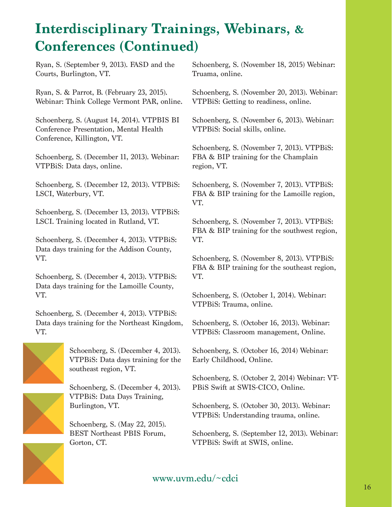Ryan, S. (September 9, 2013). FASD and the Courts, Burlington, VT.

Ryan, S. & Parrot, B. (February 23, 2015). Webinar: Think College Vermont PAR, online.

Schoenberg, S. (August 14, 2014). VTPBIS BI Conference Presentation, Mental Health Conference, Killington, VT.

Schoenberg, S. (December 11, 2013). Webinar: VTPBiS: Data days, online.

Schoenberg, S. (December 12, 2013). VTPBiS: LSCI, Waterbury, VT.

Schoenberg, S. (December 13, 2013). VTPBiS: LSCI. Training located in Rutland, VT.

Schoenberg, S. (December 4, 2013). VTPBiS: Data days training for the Addison County, VT.

Schoenberg, S. (December 4, 2013). VTPBiS: Data days training for the Lamoille County, VT.

Schoenberg, S. (December 4, 2013). VTPBiS: Data days training for the Northeast Kingdom, VT.



Schoenberg, S. (December 4, 2013). VTPBiS: Data days training for the southeast region, VT.

Schoenberg, S. (December 4, 2013). VTPBiS: Data Days Training, Burlington, VT.

Schoenberg, S. (May 22, 2015). BEST Northeast PBIS Forum, Gorton, CT.

Schoenberg, S. (November 18, 2015) Webinar: Truama, online.

Schoenberg, S. (November 20, 2013). Webinar: VTPBiS: Getting to readiness, online.

Schoenberg, S. (November 6, 2013). Webinar: VTPBiS: Social skills, online.

Schoenberg, S. (November 7, 2013). VTPBiS: FBA & BIP training for the Champlain region, VT.

Schoenberg, S. (November 7, 2013). VTPBiS: FBA & BIP training for the Lamoille region, VT.

Schoenberg, S. (November 7, 2013). VTPBiS: FBA & BIP training for the southwest region, VT.

Schoenberg, S. (November 8, 2013). VTPBiS: FBA & BIP training for the southeast region, VT.

Schoenberg, S. (October 1, 2014). Webinar: VTPBiS: Trauma, online.

Schoenberg, S. (October 16, 2013). Webinar: VTPBiS: Classroom management, Online.

Schoenberg, S. (October 16, 2014) Webinar: Early Childhood, Online.

Schoenberg, S. (October 2, 2014) Webinar: VT-PBiS Swift at SWIS-CICO, Online.

Schoenberg, S. (October 30, 2013). Webinar: VTPBiS: Understanding trauma, online.

Schoenberg, S. (September 12, 2013). Webinar: VTPBiS: Swift at SWIS, online.

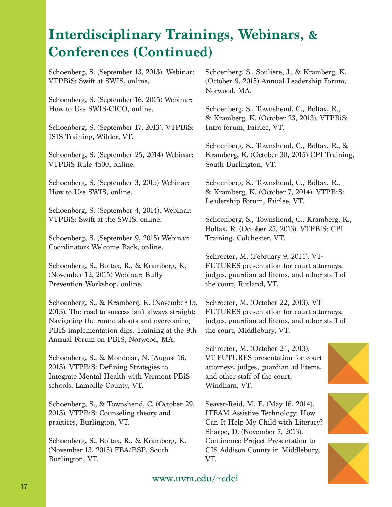Schoenberg, S. (September 13, 2013). Webinar: VTPBiS: Swift at SWIS, online.

Schoenberg, S. (September 16, 2015) Webinar: How to Use SWIS-CICO, online.

Schoenberg, S. (September 17, 2013). VTPBiS: ISIS Training, Wilder, VT.

Schoenberg, S. (September 25, 2014) Webinar: VTPBiS Rule 4500, online.

Schoenberg, S. (September 3, 2015) Webinar: How to Use SWIS, online.

Schoenberg, S. (September 4, 2014). Webinar: VTPBiS: Swift at the SWIS, online.

Schoenberg, S. (September 9, 2015) Webinar: Coordinators Welcome Back, online.

Schoenberg, S., Boltax, R., & Kramberg, K. (November 12, 2015) Webinar: Bully Prevention Workshop, online.

Schoenberg, S., & Kramberg, K. (November 15, 2013). The road to success isn't always straight: Navigating the round-abouts and overcoming PBIS implementation dips. Training at the 9th Annual Forum on PBIS, Norwood, MA.

Schoenberg, S., & Mondejar, N. (August 16, 2013). VTPBiS: Defining Strategies to Integrate Mental Health with Vermont PBiS schools, Lamoille County, VT.

Schoenberg, S., & Townshend, C. (October 29, 2013). VTPBiS: Counseling theory and practices, Burlington, VT.

Schoenberg, S., Boltax, R., & Kramberg, K. (November 13, 2015) FBA/BSP, South Burlington, VT.

Schoenberg, S., Souliere, J., & Kramberg, K. (October 9, 2015) Annual Leadership Forum, Norwood, MA.

Schoenberg, S., Townshend, C., Boltax, R., & Kramberg, K. (October 23, 2013). VTPBiS: Intro forum, Fairlee, VT.

Schoenberg, S., Townshend, C., Boltax, R., & Kramberg, K. (October 30, 2015) CPI Training, South Burlington, VT.

Schoenberg, S., Townshend, C., Boltax, R., & Kramberg, K. (October 7, 2014). VTPBiS: Leadership Forum, Fairlee, VT.

Schoenberg, S., Townshend, C., Kramberg, K., Boltax, R. (October 25, 2013). VTPBiS: CPI Training, Colchester, VT.

Schroeter, M. (February 9, 2014). VT-FUTURES presentation for court attorneys, judges, guardian ad litems, and other staff of the court, Rutland, VT.

Schroeter, M. (October 22, 2013). VT-FUTURES presentation for court attorneys, judges, guardian ad litems, and other staff of the court, Middlebury, VT.

Schroeter, M. (October 24, 2013). VT-FUTURES presentation for court attorneys, judges, guardian ad litems, and other staff of the court, Windham, VT.

Seaver-Reid, M. E. (May 16, 2014). ITEAM Assistive Technology: How Can It Help My Child with Literacy? Sharpe, D. (November 7, 2013). Continence Project Presentation to CIS Addison County in Middlebury, VT.



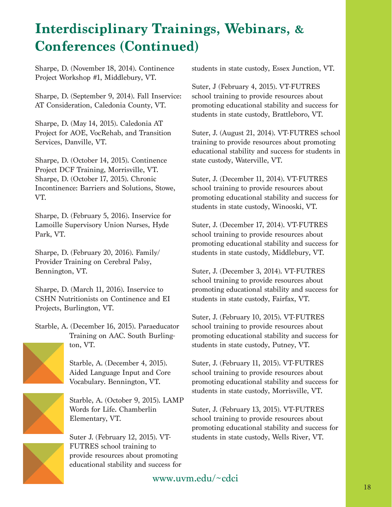Sharpe, D. (November 18, 2014). Continence Project Workshop #1, Middlebury, VT.

Sharpe, D. (September 9, 2014). Fall Inservice: AT Consideration, Caledonia County, VT.

Sharpe, D. (May 14, 2015). Caledonia AT Project for AOE, VocRehab, and Transition Services, Danville, VT.

Sharpe, D. (October 14, 2015). Continence Project DCF Training, Morrisville, VT. Sharpe, D. (October 17, 2015). Chronic Incontinence: Barriers and Solutions, Stowe, VT.

Sharpe, D. (February 5, 2016). Inservice for Lamoille Supervisory Union Nurses, Hyde Park, VT.

Sharpe, D. (February 20, 2016). Family/ Provider Training on Cerebral Palsy, Bennington, VT.

Sharpe, D. (March 11, 2016). Inservice to CSHN Nutritionists on Continence and EI Projects, Burlington, VT.

Starble, A. (December 16, 2015). Paraeducator Training on AAC. South Burlington, VT.

Starble, A. (December 4, 2015).

Aided Language Input and Core Vocabulary. Bennington, VT.

Starble, A. (October 9, 2015). LAMP Words for Life. Chamberlin Elementary, VT.

Suter J. (February 12, 2015). VT-FUTRES school training to provide resources about promoting educational stability and success for students in state custody, Essex Junction, VT.

Suter, J (February 4, 2015). VT-FUTRES school training to provide resources about promoting educational stability and success for students in state custody, Brattleboro, VT.

Suter, J. (August 21, 2014). VT-FUTRES school training to provide resources about promoting educational stability and success for students in state custody, Waterville, VT.

Suter, J. (December 11, 2014). VT-FUTRES school training to provide resources about promoting educational stability and success for students in state custody, Winooski, VT.

Suter, J. (December 17, 2014). VT-FUTRES school training to provide resources about promoting educational stability and success for students in state custody, Middlebury, VT.

Suter, J. (December 3, 2014). VT-FUTRES school training to provide resources about promoting educational stability and success for students in state custody, Fairfax, VT.

Suter, J. (February 10, 2015). VT-FUTRES school training to provide resources about promoting educational stability and success for students in state custody, Putney, VT.

Suter, J. (February 11, 2015). VT-FUTRES school training to provide resources about promoting educational stability and success for students in state custody, Morrisville, VT.

Suter, J. (February 13, 2015). VT-FUTRES school training to provide resources about promoting educational stability and success for students in state custody, Wells River, VT.

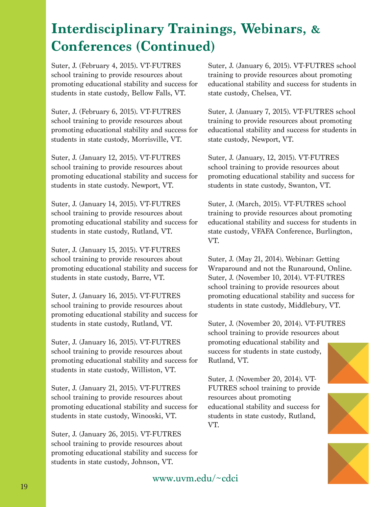Suter, J. (February 4, 2015). VT-FUTRES school training to provide resources about promoting educational stability and success for students in state custody, Bellow Falls, VT.

Suter, J. (February 6, 2015). VT-FUTRES school training to provide resources about promoting educational stability and success for students in state custody, Morrisville, VT.

Suter, J. (January 12, 2015). VT-FUTRES school training to provide resources about promoting educational stability and success for students in state custody. Newport, VT.

Suter, J. (January 14, 2015). VT-FUTRES school training to provide resources about promoting educational stability and success for students in state custody, Rutland, VT.

Suter, J. (January 15, 2015). VT-FUTRES school training to provide resources about promoting educational stability and success for students in state custody, Barre, VT.

Suter, J. (January 16, 2015). VT-FUTRES school training to provide resources about promoting educational stability and success for students in state custody, Rutland, VT.

Suter, J. (January 16, 2015). VT-FUTRES school training to provide resources about promoting educational stability and success for students in state custody, Williston, VT.

Suter, J. (January 21, 2015). VT-FUTRES school training to provide resources about promoting educational stability and success for students in state custody, Winooski, VT.

Suter, J. (January 26, 2015). VT-FUTRES school training to provide resources about promoting educational stability and success for students in state custody, Johnson, VT.

Suter, J. (January 6, 2015). VT-FUTRES school training to provide resources about promoting educational stability and success for students in state custody, Chelsea, VT.

Suter, J. (January 7, 2015). VT-FUTRES school training to provide resources about promoting educational stability and success for students in state custody, Newport, VT.

Suter, J. (January, 12, 2015). VT-FUTRES school training to provide resources about promoting educational stability and success for students in state custody, Swanton, VT.

Suter, J. (March, 2015). VT-FUTRES school training to provide resources about promoting educational stability and success for students in state custody, VFAFA Conference, Burlington, VT.

Suter, J. (May 21, 2014). Webinar: Getting Wraparound and not the Runaround, Online. Suter, J. (November 10, 2014). VT-FUTRES school training to provide resources about promoting educational stability and success for students in state custody, Middlebury, VT.

Suter, J. (November 20, 2014). VT-FUTRES school training to provide resources about promoting educational stability and success for students in state custody, Rutland, VT.

Suter, J. (November 20, 2014). VT-FUTRES school training to provide resources about promoting educational stability and success for students in state custody, Rutland, VT.





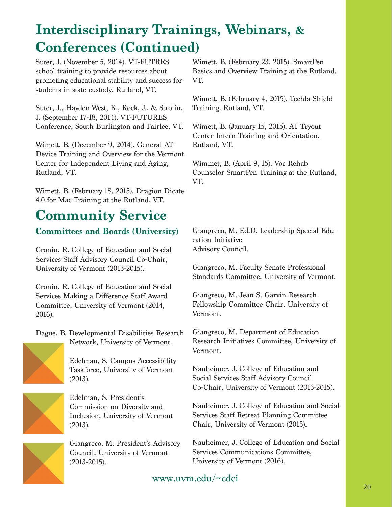Suter, J. (November 5, 2014). VT-FUTRES school training to provide resources about promoting educational stability and success for students in state custody, Rutland, VT.

Suter, J., Hayden-West, K., Rock, J., & Strolin, J. (September 17-18, 2014). VT-FUTURES Conference, South Burlington and Fairlee, VT.

Wimett, B. (December 9, 2014). General AT Device Training and Overview for the Vermont Center for Independent Living and Aging, Rutland, VT.

Wimett, B. (February 18, 2015). Dragion Dicate 4.0 for Mac Training at the Rutland, VT.

### **Community Service**

#### **Committees and Boards (University)**

Cronin, R. College of Education and Social Services Staff Advisory Council Co-Chair, University of Vermont (2013-2015).

Cronin, R. College of Education and Social Services Making a Difference Staff Award Committee, University of Vermont (2014, 2016).

Dague, B. Developmental Disabilities Research Network, University of Vermont.



Edelman, S. Campus Accessibility Taskforce, University of Vermont (2013).



Edelman, S. President's Commission on Diversity and Inclusion, University of Vermont (2013).

Giangreco, M. President's Advisory Council, University of Vermont (2013-2015).

Wimett, B. (February 23, 2015). SmartPen Basics and Overview Training at the Rutland, VT.

Wimett, B. (February 4, 2015). Techla Shield Training. Rutland, VT.

Wimett, B. (January 15, 2015). AT Tryout Center Intern Training and Orientation, Rutland, VT.

Wimmet, B. (April 9, 15). Voc Rehab Counselor SmartPen Training at the Rutland, VT.

Giangreco, M. Ed.D. Leadership Special Education Initiative Advisory Council.

Giangreco, M. Faculty Senate Professional Standards Committee, University of Vermont.

Giangreco, M. Jean S. Garvin Research Fellowship Committee Chair, University of Vermont.

Giangreco, M. Department of Education Research Initiatives Committee, University of Vermont.

Nauheimer, J. College of Education and Social Services Staff Advisory Council Co-Chair, University of Vermont (2013-2015).

Nauheimer, J. College of Education and Social Services Staff Retreat Planning Committee Chair, University of Vermont (2015).

Nauheimer, J. College of Education and Social Services Communications Committee, University of Vermont (2016).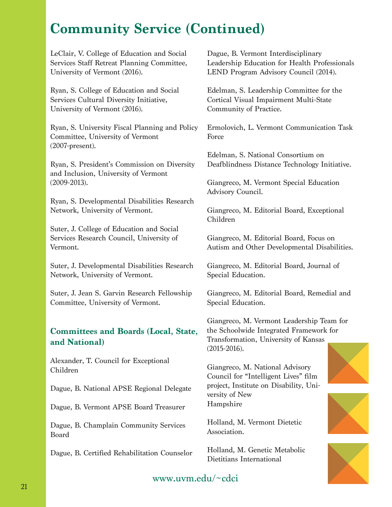### **Community Service (Continued)**

LeClair, V. College of Education and Social Services Staff Retreat Planning Committee, University of Vermont (2016).

Ryan, S. College of Education and Social Services Cultural Diversity Initiative, University of Vermont (2016).

Ryan, S. University Fiscal Planning and Policy Committee, University of Vermont (2007-present).

Ryan, S. President's Commission on Diversity and Inclusion, University of Vermont (2009-2013).

Ryan, S. Developmental Disabilities Research Network, University of Vermont.

Suter, J. College of Education and Social Services Research Council, University of Vermont.

Suter, J. Developmental Disabilities Research Network, University of Vermont.

Suter, J. Jean S. Garvin Research Fellowship Committee, University of Vermont.

#### **Committees and Boards (Local, State, and National)**

Alexander, T. Council for Exceptional Children

Dague, B. National APSE Regional Delegate

Dague, B. Vermont APSE Board Treasurer

Dague, B. Champlain Community Services Board

Dague, B. Certified Rehabilitation Counselor

Dague, B. Vermont Interdisciplinary Leadership Education for Health Professionals LEND Program Advisory Council (2014).

Edelman, S. Leadership Committee for the Cortical Visual Impairment Multi-State Community of Practice.

Ermolovich, L. Vermont Communication Task Force

Edelman, S. National Consortium on Deafblindness Distance Technology Initiative.

Giangreco, M. Vermont Special Education Advisory Council.

Giangreco, M. Editorial Board, Exceptional Children

Giangreco, M. Editorial Board, Focus on Autism and Other Developmental Disabilities.

Giangreco, M. Editorial Board, Journal of Special Education.

Giangreco, M. Editorial Board, Remedial and Special Education.

Giangreco, M. Vermont Leadership Team for the Schoolwide Integrated Framework for Transformation, University of Kansas (2015-2016).

Giangreco, M. National Advisory Council for "Intelligent Lives" film project, Institute on Disability, University of New Hampshire

Holland, M. Vermont Dietetic Association.

Holland, M. Genetic Metabolic Dietitians International





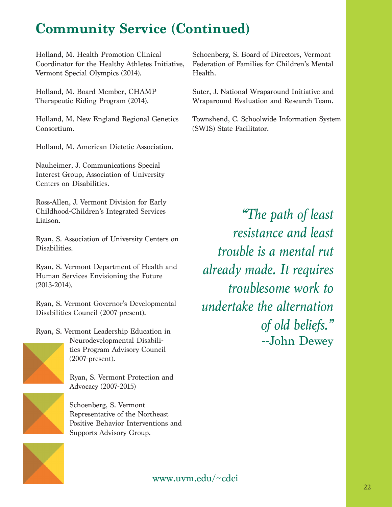### **Community Service (Continued)**

Holland, M. Health Promotion Clinical Coordinator for the Healthy Athletes Initiative, Vermont Special Olympics (2014).

Holland, M. Board Member, CHAMP Therapeutic Riding Program (2014).

Holland, M. New England Regional Genetics Consortium.

Holland, M. American Dietetic Association.

Nauheimer, J. Communications Special Interest Group, Association of University Centers on Disabilities.

Ross-Allen, J. Vermont Division for Early Childhood-Children's Integrated Services Liaison.

Ryan, S. Association of University Centers on Disabilities.

Ryan, S. Vermont Department of Health and Human Services Envisioning the Future (2013-2014).

Ryan, S. Vermont Governor's Developmental Disabilities Council (2007-present).

Ryan, S. Vermont Leadership Education in



Neurodevelopmental Disabilities Program Advisory Council (2007-present).

Ryan, S. Vermont Protection and Advocacy (2007-2015)



Schoenberg, S. Vermont Representative of the Northeast Positive Behavior Interventions and Supports Advisory Group.

Schoenberg, S. Board of Directors, Vermont Federation of Families for Children's Mental Health.

Suter, J. National Wraparound Initiative and Wraparound Evaluation and Research Team.

Townshend, C. Schoolwide Information System (SWIS) State Facilitator.

*"The path of least resistance and least trouble is a mental rut already made. It requires troublesome work to undertake the alternation of old beliefs."* --John Dewey

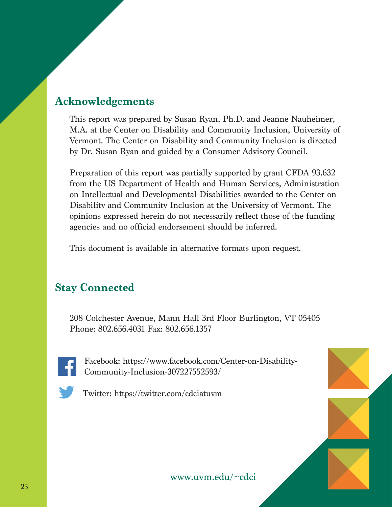### **Acknowledgements**

This report was prepared by Susan Ryan, Ph.D. and Jeanne Nauheimer, M.A. at the Center on Disability and Community Inclusion, University of Vermont. The Center on Disability and Community Inclusion is directed by Dr. Susan Ryan and guided by a Consumer Advisory Council.

Preparation of this report was partially supported by grant CFDA 93.632 from the US Department of Health and Human Services, Administration on Intellectual and Developmental Disabilities awarded to the Center on Disability and Community Inclusion at the University of Vermont. The opinions expressed herein do not necessarily reflect those of the funding agencies and no official endorsement should be inferred.

This document is available in alternative formats upon request.

### **Stay Connected**

208 Colchester Avenue, Mann Hall 3rd Floor Burlington, VT 05405 Phone: 802.656.4031 Fax: 802.656.1357



Facebook: https://www.facebook.com/Center-on-Disability-Community-Inclusion-307227552593/



Twitter: https://twitter.com/cdciatuvm